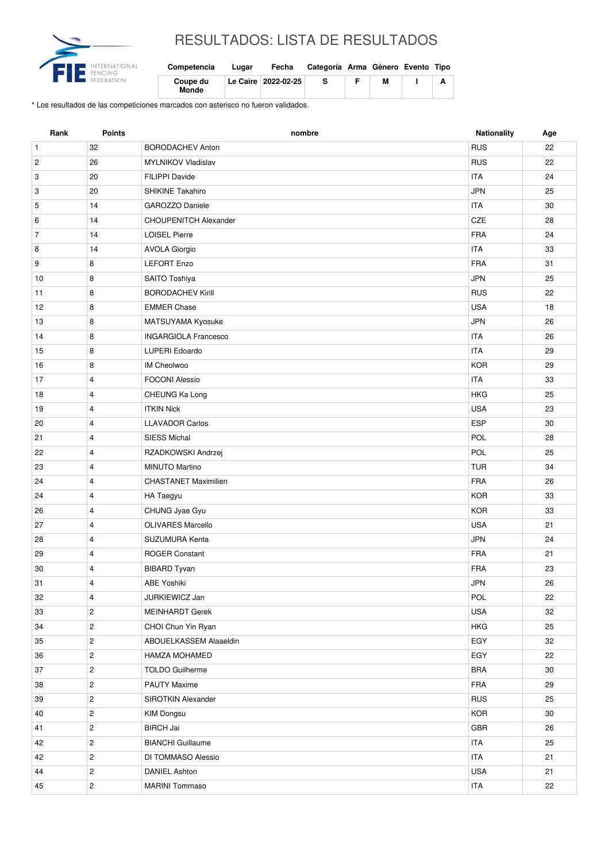

## RESULTADOS: LISTA DE RESULTADOS

| Competencia       | Lugar | Fecha                 | Categoría Arma Género Evento Tipo |   |  |
|-------------------|-------|-----------------------|-----------------------------------|---|--|
| Coupe du<br>Monde |       | Le Caire   2022-02-25 | -S                                | М |  |

\* Los resultados de las competiciones marcados con asterisco no fueron validados.

| Rank           | Points         | nombre                      | Nationality | Age |
|----------------|----------------|-----------------------------|-------------|-----|
| $\mathbf{1}$   | 32             | <b>BORODACHEV Anton</b>     | <b>RUS</b>  | 22  |
| $\overline{c}$ | 26             | <b>MYLNIKOV Vladislav</b>   | <b>RUS</b>  | 22  |
| 3              | 20             | FILIPPI Davide              | <b>ITA</b>  | 24  |
| 3              | 20             | <b>SHIKINE Takahiro</b>     | <b>JPN</b>  | 25  |
| 5              | 14             | GAROZZO Daniele             | <b>ITA</b>  | 30  |
| 6              | 14             | CHOUPENITCH Alexander       | CZE         | 28  |
| $\overline{7}$ | 14             | <b>LOISEL Pierre</b>        | <b>FRA</b>  | 24  |
| 8              | 14             | <b>AVOLA Giorgio</b>        | <b>ITA</b>  | 33  |
| 9              | 8              | <b>LEFORT Enzo</b>          | <b>FRA</b>  | 31  |
| 10             | 8              | SAITO Toshiya               | <b>JPN</b>  | 25  |
| 11             | 8              | <b>BORODACHEV Kirill</b>    | <b>RUS</b>  | 22  |
| 12             | 8              | <b>EMMER Chase</b>          | <b>USA</b>  | 18  |
| 13             | 8              | MATSUYAMA Kyosuke           | <b>JPN</b>  | 26  |
| 14             | 8              | <b>INGARGIOLA Francesco</b> | <b>ITA</b>  | 26  |
| 15             | 8              | <b>LUPERI Edoardo</b>       | <b>ITA</b>  | 29  |
| 16             | 8              | <b>IM Cheolwoo</b>          | <b>KOR</b>  | 29  |
| 17             | $\overline{4}$ | <b>FOCONI Alessio</b>       | <b>ITA</b>  | 33  |
| 18             | $\overline{4}$ | CHEUNG Ka Long              | <b>HKG</b>  | 25  |
| 19             | $\overline{4}$ | <b>ITKIN Nick</b>           | <b>USA</b>  | 23  |
| 20             | 4              | <b>LLAVADOR Carlos</b>      | <b>ESP</b>  | 30  |
| 21             | $\overline{4}$ | <b>SIESS Michal</b>         | POL         | 28  |
| 22             | 4              | RZADKOWSKI Andrzej          | POL         | 25  |
| 23             | $\overline{4}$ | <b>MINUTO Martino</b>       | <b>TUR</b>  | 34  |
| 24             | 4              | <b>CHASTANET Maximilien</b> | <b>FRA</b>  | 26  |
| 24             | $\overline{4}$ | HA Taegyu                   | <b>KOR</b>  | 33  |
| 26             | $\overline{4}$ | CHUNG Jyae Gyu              | <b>KOR</b>  | 33  |
| 27             | $\overline{4}$ | <b>OLIVARES Marcello</b>    | <b>USA</b>  | 21  |
| 28             | $\overline{4}$ | SUZUMURA Kenta              | <b>JPN</b>  | 24  |
| 29             | $\overline{4}$ | <b>ROGER Constant</b>       | <b>FRA</b>  | 21  |
| 30             | 4              | <b>BIBARD Tyvan</b>         | <b>FRA</b>  | 23  |
| 31             | 4              | ABE Yoshiki                 | <b>JPN</b>  | 26  |
| 32             | $\overline{4}$ | JURKIEWICZ Jan              | POL         | 22  |
| 33             | $\overline{2}$ | <b>MEINHARDT Gerek</b>      | <b>USA</b>  | 32  |
| 34             | $\mathbf{2}$   | CHOI Chun Yin Ryan          | <b>HKG</b>  | 25  |
| 35             | $\overline{2}$ | ABOUELKASSEM Alaaeldin      | EGY         | 32  |
| 36             | $\overline{2}$ | <b>HAMZA MOHAMED</b>        | EGY         | 22  |
| 37             | $\overline{c}$ | <b>TOLDO Guilherme</b>      | <b>BRA</b>  | 30  |
| 38             | $\overline{2}$ | <b>PAUTY Maxime</b>         | <b>FRA</b>  | 29  |
| 39             | $\overline{c}$ | SIROTKIN Alexander          | <b>RUS</b>  | 25  |
| 40             | $\overline{2}$ | <b>KIM Dongsu</b>           | <b>KOR</b>  | 30  |
| 41             | $\overline{2}$ | <b>BIRCH Jai</b>            | GBR         | 26  |
| 42             | $\overline{2}$ | <b>BIANCHI</b> Guillaume    | <b>ITA</b>  | 25  |
| 42             | $\mathbf{2}$   | DI TOMMASO Alessio          | <b>ITA</b>  | 21  |
| 44             | $\overline{c}$ | <b>DANIEL Ashton</b>        | <b>USA</b>  | 21  |
| 45             | $\overline{c}$ | <b>MARINI Tommaso</b>       | <b>ITA</b>  | 22  |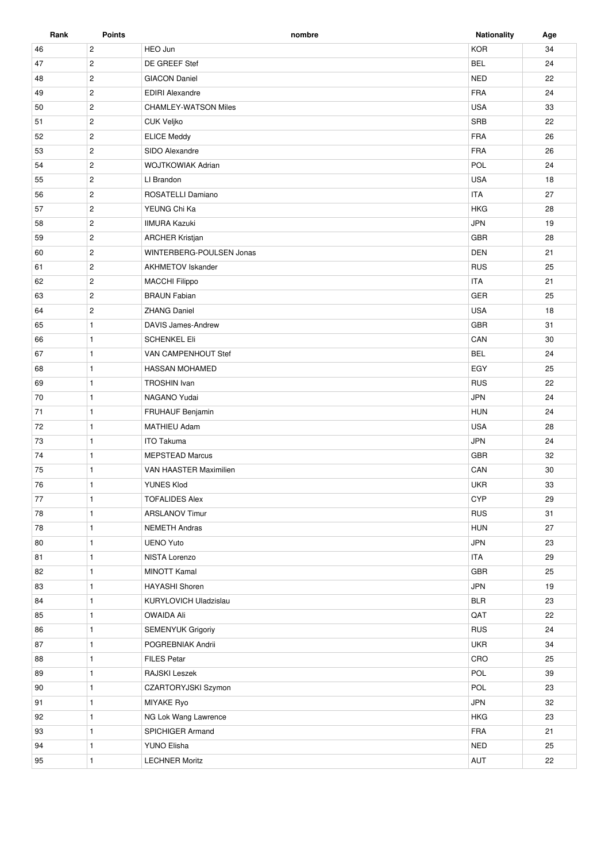| Rank | <b>Points</b>  | nombre                      | <b>Nationality</b> | Age |
|------|----------------|-----------------------------|--------------------|-----|
| 46   | $\overline{c}$ | HEO Jun                     | <b>KOR</b>         | 34  |
| 47   | $\mathbf{2}$   | DE GREEF Stef               | <b>BEL</b>         | 24  |
| 48   | $\mathbf{2}$   | <b>GIACON Daniel</b>        | <b>NED</b>         | 22  |
| 49   | $\overline{c}$ | <b>EDIRI Alexandre</b>      | FRA                | 24  |
| 50   | $\mathbf{2}$   | <b>CHAMLEY-WATSON Miles</b> | <b>USA</b>         | 33  |
| 51   | $\overline{2}$ | <b>CUK Veljko</b>           | SRB                | 22  |
| 52   | $\overline{2}$ | <b>ELICE Meddy</b>          | <b>FRA</b>         | 26  |
| 53   | $\mathbf{2}$   | SIDO Alexandre              | <b>FRA</b>         | 26  |
| 54   | $\overline{c}$ | <b>WOJTKOWIAK Adrian</b>    | POL                | 24  |
| 55   | $\overline{c}$ | LI Brandon                  | <b>USA</b>         | 18  |
| 56   | $\mathbf{2}$   | ROSATELLI Damiano           | <b>ITA</b>         | 27  |
| 57   | $\overline{c}$ | YEUNG Chi Ka                | <b>HKG</b>         | 28  |
| 58   | $\mathbf{2}$   | <b>IIMURA Kazuki</b>        | <b>JPN</b>         | 19  |
| 59   | $\mathbf{2}$   | <b>ARCHER Kristjan</b>      | GBR                | 28  |
| 60   | $\sqrt{2}$     | WINTERBERG-POULSEN Jonas    | DEN                | 21  |
| 61   | $\mathbf{2}$   | <b>AKHMETOV Iskander</b>    | <b>RUS</b>         | 25  |
| 62   | $\overline{2}$ | <b>MACCHI Filippo</b>       | <b>ITA</b>         | 21  |
| 63   | $\overline{2}$ | <b>BRAUN Fabian</b>         | <b>GER</b>         | 25  |
| 64   | $\mathbf{2}$   | <b>ZHANG Daniel</b>         | <b>USA</b>         | 18  |
| 65   | $\mathbf{1}$   | DAVIS James-Andrew          | GBR                | 31  |
| 66   | $\mathbf{1}$   | <b>SCHENKEL Eli</b>         | CAN                | 30  |
| 67   | $\mathbf{1}$   | VAN CAMPENHOUT Stef         | <b>BEL</b>         | 24  |
| 68   | $\mathbf{1}$   | <b>HASSAN MOHAMED</b>       | EGY                | 25  |
| 69   | $\mathbf{1}$   | <b>TROSHIN Ivan</b>         | <b>RUS</b>         | 22  |
| 70   | $\mathbf{1}$   | NAGANO Yudai                | <b>JPN</b>         | 24  |
| 71   | $\mathbf{1}$   | FRUHAUF Benjamin            | <b>HUN</b>         | 24  |
| 72   | $\mathbf{1}$   | <b>MATHIEU Adam</b>         | <b>USA</b>         | 28  |
| 73   | $\mathbf{1}$   | <b>ITO Takuma</b>           | <b>JPN</b>         | 24  |
| 74   | $\mathbf{1}$   | <b>MEPSTEAD Marcus</b>      | <b>GBR</b>         | 32  |
| 75   | $\mathbf{1}$   | VAN HAASTER Maximilien      | CAN                | 30  |
| 76   | 1              | YUNES Klod                  | <b>UKR</b>         | 33  |
| 77   | $\mathbf{1}$   | <b>TOFALIDES Alex</b>       | <b>CYP</b>         | 29  |
| 78   | $\mathbf{1}$   | <b>ARSLANOV Timur</b>       | <b>RUS</b>         | 31  |
| 78   | $\mathbf{1}$   | <b>NEMETH Andras</b>        | <b>HUN</b>         | 27  |
| 80   | $\mathbf{1}$   | <b>UENO Yuto</b>            | <b>JPN</b>         | 23  |
| 81   | $\mathbf{1}$   | NISTA Lorenzo               | <b>ITA</b>         | 29  |
| 82   | $\mathbf{1}$   | <b>MINOTT Kamal</b>         | GBR                | 25  |
| 83   | $\mathbf{1}$   | <b>HAYASHI Shoren</b>       | <b>JPN</b>         | 19  |
| 84   | $\mathbf{1}$   | KURYLOVICH Uladzislau       | <b>BLR</b>         | 23  |
| 85   | $\mathbf{1}$   | <b>OWAIDA Ali</b>           | QAT                | 22  |
| 86   | $\mathbf{1}$   | <b>SEMENYUK Grigoriy</b>    | <b>RUS</b>         | 24  |
| 87   | $\mathbf{1}$   | POGREBNIAK Andrii           | <b>UKR</b>         | 34  |
| 88   | $\mathbf{1}$   | <b>FILES Petar</b>          | CRO                | 25  |
| 89   | $\mathbf{1}$   | RAJSKI Leszek               | POL                | 39  |
| 90   | $\mathbf{1}$   | CZARTORYJSKI Szymon         | POL                | 23  |
| 91   | $\mathbf{1}$   | MIYAKE Ryo                  | <b>JPN</b>         | 32  |
| 92   | $\mathbf{1}$   | NG Lok Wang Lawrence        | <b>HKG</b>         | 23  |
| 93   | $\mathbf{1}$   | SPICHIGER Armand            | FRA                | 21  |
| 94   | $\mathbf{1}$   | YUNO Elisha                 | <b>NED</b>         | 25  |
| 95   | $\mathbf{1}$   | <b>LECHNER Moritz</b>       | AUT                | 22  |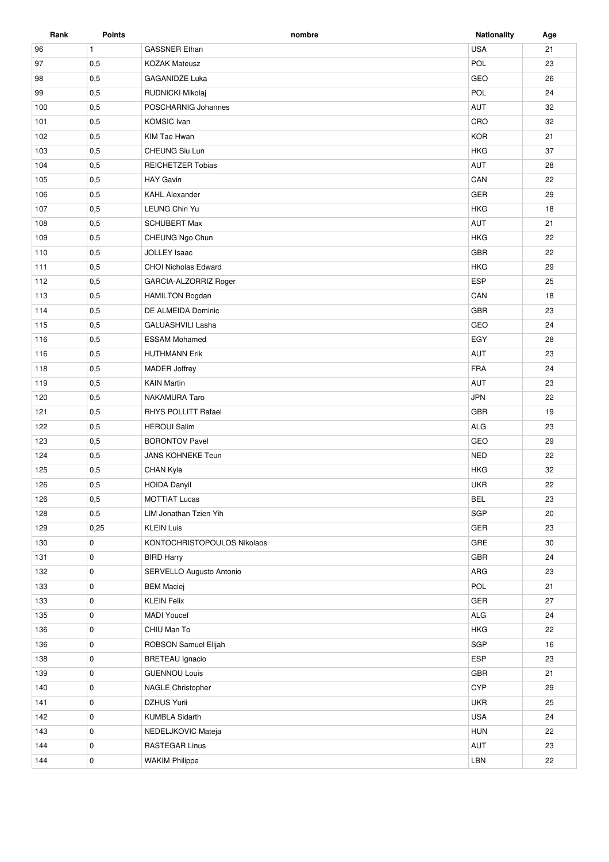| Rank | <b>Points</b> | nombre                      | <b>Nationality</b> | Age |
|------|---------------|-----------------------------|--------------------|-----|
| 96   | $\mathbf{1}$  | <b>GASSNER Ethan</b>        | <b>USA</b>         | 21  |
| 97   | 0,5           | <b>KOZAK Mateusz</b>        | POL                | 23  |
| 98   | 0,5           | <b>GAGANIDZE Luka</b>       | GEO                | 26  |
| 99   | 0,5           | RUDNICKI Mikolaj            | POL                | 24  |
| 100  | 0,5           | POSCHARNIG Johannes         | AUT                | 32  |
| 101  | 0,5           | <b>KOMSIC</b> Ivan          | CRO                | 32  |
| 102  | 0,5           | KIM Tae Hwan                | <b>KOR</b>         | 21  |
| 103  | 0,5           | CHEUNG Siu Lun              | <b>HKG</b>         | 37  |
| 104  | 0,5           | <b>REICHETZER Tobias</b>    | AUT                | 28  |
| 105  | 0,5           | <b>HAY Gavin</b>            | CAN                | 22  |
| 106  | 0,5           | <b>KAHL Alexander</b>       | GER                | 29  |
| 107  | 0,5           | LEUNG Chin Yu               | <b>HKG</b>         | 18  |
| 108  | 0,5           | <b>SCHUBERT Max</b>         | <b>AUT</b>         | 21  |
| 109  | 0,5           | CHEUNG Ngo Chun             | <b>HKG</b>         | 22  |
| 110  | 0,5           | <b>JOLLEY Isaac</b>         | <b>GBR</b>         | 22  |
| 111  | 0,5           | <b>CHOI Nicholas Edward</b> | <b>HKG</b>         | 29  |
| 112  | 0,5           | GARCIA-ALZORRIZ Roger       | <b>ESP</b>         | 25  |
| 113  | 0,5           | <b>HAMILTON Bogdan</b>      | CAN                | 18  |
| 114  | 0,5           | DE ALMEIDA Dominic          | GBR                | 23  |
| 115  | 0,5           | <b>GALUASHVILI Lasha</b>    | GEO                | 24  |
| 116  | 0,5           | <b>ESSAM Mohamed</b>        | EGY                | 28  |
| 116  | 0,5           | <b>HUTHMANN Erik</b>        | AUT                | 23  |
| 118  | 0,5           | <b>MADER Joffrey</b>        | <b>FRA</b>         | 24  |
| 119  | 0,5           | <b>KAIN Martin</b>          | <b>AUT</b>         | 23  |
| 120  | 0,5           | NAKAMURA Taro               | <b>JPN</b>         | 22  |
| 121  | 0,5           | <b>RHYS POLLITT Rafael</b>  | <b>GBR</b>         | 19  |
| 122  | 0,5           | <b>HEROUI Salim</b>         | <b>ALG</b>         | 23  |
| 123  | 0,5           | <b>BORONTOV Pavel</b>       | GEO                | 29  |
| 124  | 0,5           | JANS KOHNEKE Teun           | <b>NED</b>         | 22  |
| 125  | 0,5           | <b>CHAN Kyle</b>            | <b>HKG</b>         | 32  |
| 126  | 0,5           | <b>HOIDA Danyil</b>         | <b>UKR</b>         | 22  |
| 126  | 0,5           | <b>MOTTIAT Lucas</b>        | <b>BEL</b>         | 23  |
| 128  | 0,5           | LIM Jonathan Tzien Yih      | SGP                | 20  |
| 129  | 0,25          | <b>KLEIN Luis</b>           | GER                | 23  |
| 130  | 0             | KONTOCHRISTOPOULOS Nikolaos | GRE                | 30  |
| 131  | 0             | <b>BIRD Harry</b>           | GBR                | 24  |
| 132  | 0             | SERVELLO Augusto Antonio    | ARG                | 23  |
| 133  | 0             | <b>BEM Maciej</b>           | POL                | 21  |
| 133  | 0             | <b>KLEIN Felix</b>          | GER                | 27  |
| 135  | 0             | <b>MADI Youcef</b>          | ALG                | 24  |
| 136  | 0             | CHIU Man To                 | <b>HKG</b>         | 22  |
| 136  | 0             | ROBSON Samuel Elijah        | SGP                | 16  |
| 138  | 0             | <b>BRETEAU</b> Ignacio      | <b>ESP</b>         | 23  |
| 139  | 0             | <b>GUENNOU Louis</b>        | GBR                | 21  |
| 140  | 0             | NAGLE Christopher           | <b>CYP</b>         | 29  |
| 141  | 0             | <b>DZHUS Yurii</b>          | <b>UKR</b>         | 25  |
| 142  | 0             | <b>KUMBLA Sidarth</b>       | <b>USA</b>         | 24  |
| 143  | 0             | NEDELJKOVIC Mateja          | <b>HUN</b>         | 22  |
| 144  | 0             | <b>RASTEGAR Linus</b>       | AUT                | 23  |
| 144  | 0             | <b>WAKIM Philippe</b>       | LBN                | 22  |
|      |               |                             |                    |     |